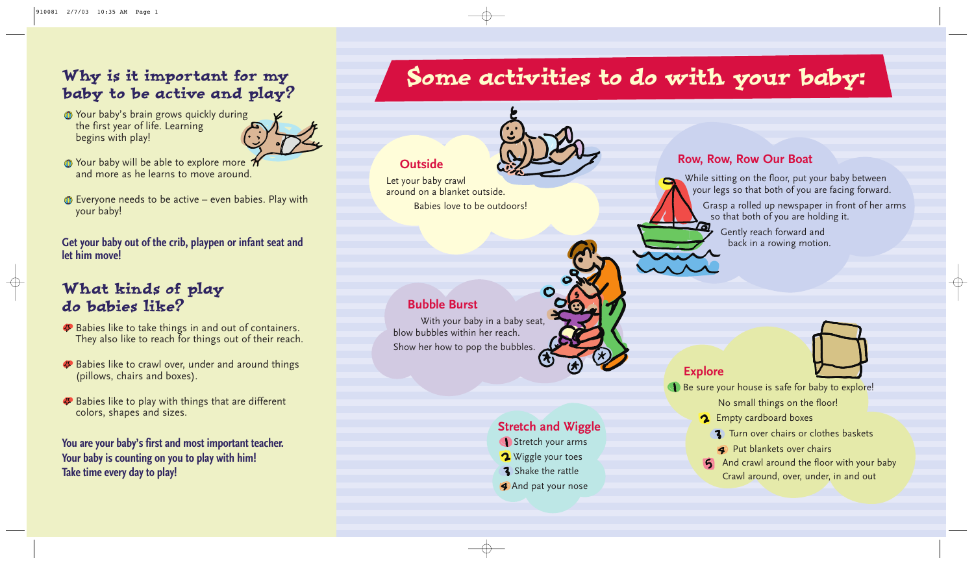## Why is it important for my baby to be active and play?

**The Your baby's brain grows quickly during** the first year of life. Learning begins with play!



- The Your baby will be able to explore more 7 and more as he learns to move around.
- **Everyone needs to be active even babies. Play with** your baby!

**Get your baby out of the crib, playpen or infant seat and let him move!**

- **Babies like to take things in and out of containers.** They also like to reach for things out of their reach.
- **Babies like to crawl over, under and around things** (pillows, chairs and boxes).
- **Babies like to play with things that are different** colors, shapes and sizes.

## What kinds of play do babies like?

- 2 Empty cardboard boxes
	- **3** Turn over chairs or clothes baskets
	- **Put blankets over chairs**
- And crawl around the floor with your baby Crawl around, over, under, in and out

**You are your baby's first and most important teacher. Your baby is counting on you to play with him! Take time every day to play!**

# Some activities to do with your baby:



#### **Outside**

Let your baby crawl around on a blanket outside. Babies love to be outdoors!



### **Bubble Burst**

With your baby in a baby seat, blow bubbles within her reach. Show her how to pop the bubbles.

### **Explore**

Be sure your house is safe for baby to explore!

No small things on the floor!

## **Row, Row, Row Our Boat**

While sitting on the floor, put your baby between your legs so that both of you are facing forward.

Grasp a rolled up newspaper in front of her arms so that both of you are holding it.

Gently reach forward and back in a rowing motion.



 $\oplus$ 

#### **Stretch and Wiggle**

- Stretch your arms
- Wiggle your toes
- **3** Shake the rattle
- **And pat your nose**